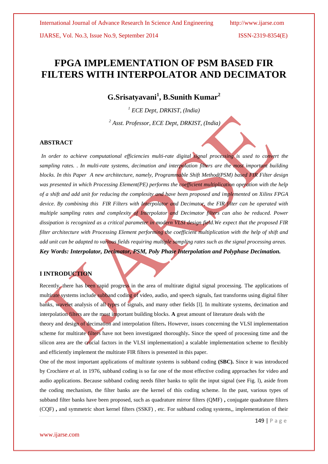# **FPGA IMPLEMENTATION OF PSM BASED FIR FILTERS WITH INTERPOLATOR AND DECIMATOR**

**G.Srisatyavani<sup>1</sup> , B.Sunith Kumar<sup>2</sup>**

*<sup>1</sup> ECE Dept, DRKIST, (India)*

*<sup>2</sup> Asst. Professor, ECE Dept, DRKIST, (India)*

# **ABSTRACT**

*In order to achieve computational efficiencies multi-rate digital signal processing is used to convert the sampling rates. . In multi-rate systems, decimation and interpolation filters are the most important building blocks. In this Paper A new architecture, namely, Programmable Shift Method(PSM) based FIR Filter design*  was presented in which Processing Element(PE) performs the **coefficient multiplication** operation with the help *of a shift and add unit for reducing the complexity and have been proposed and implemented on Xilinx FPGA device. By combining this FIR Filters with Interpolator and Decimator, the FIR filter can be operated with multiple sampling rates and complexity of Interpolator and Decimator filters can also be reduced. Power dissipation is recognized as a critical parameter in modern VLSI design field.We expect that the proposed FIR filter architecture with Processing Element performing the coefficient multiplication with the help of shift and add unit can be adapted to various fields requiring multiple sampling rates such as the signal processing areas. Key Words: Interpolator, Decimator, PSM, Poly Phase Interpolation and Polyphase Decimation.*

# **I INTRODUCTION**

Recently, there has been rapid progress in the area of multirate digital signal processing. The applications of multirate systems include subband coding of video, audio, and speech signals, fast transforms using digital filter banks, wavelet analysis of all types of signals, and many other fields [l]. In multirate systems, decimation and interpolation filters are the most important building blocks. **A** great amount of literature deals with the theory and design of decimation and interpolation filters**.** However, issues concerning the VLSI implementation scheme for multirate filters have not been investigated thoroughly**.** Since the speed of processing time and the silicon area are the crucial factors in the VLSI implementation] a scalable implementation scheme to flexibly and efficiently implement the multirate FIR filters is presented in this paper.

One of the most important applications of multirate systems is subband coding **(SBC).** Since it was introduced by Crochiere *et al.* in 1976, subband coding is so far one of the most effective coding approaches for video and audio applications. Because subband coding needs filter banks to split the input signal (see Fig. l), aside from the coding mechanism, the filter banks are the kernel of this coding scheme. In the past, various types of subband filter banks have been proposed, such as quadrature mirror filters (QMF) **,** conjugate quadrature filters (CQF) **,** and symmetric short kernel filters (SSKF) , etc. For subband coding systems,, implementation of their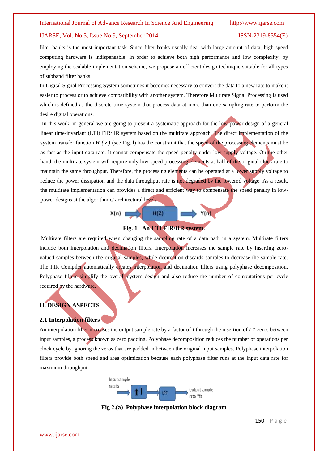### IJARSE, Vol. No.3, Issue No.9, September 2014 ISSN-2319-8354(E)

filter banks is the most important task. Since filter banks usually deal with large amount of data, high speed computing hardware **is** indispensable. In order to achieve both high performance and low complexity, by employing the scalable implementation scheme, we propose an efficient design technique suitable for all types of subband filter banks.

In Digital Signal Processing System sometimes it becomes necessary to convert the data to a new rate to make it easier to process or to achieve compatibility with another system. Therefore Multirate Signal Processing is used which is defined as the discrete time system that process data at more than one sampling rate to perform the desire digital operations.

In this work, in general we are going to present a systematic approach for the low-power design of a general linear time-invariant (LTI) FIR/IIR system based on the multirate approach. The direct implementation of the system transfer function  $H(z)$  (see Fig. 1) has the constraint that the speed of the processing elements must be as fast as the input data rate. It cannot compensate the speed penalty under low supply voltage. On the other hand, the multirate system will require only low-speed processing elements at half of the original clock rate to maintain the same throughput. Therefore, the processing elements can be operated at a lower supply voltage to reduce the power dissipation and the data throughput rate is not degraded by the lowered voltage. As a result, the multirate implementation can provides a direct and efficient way to compensate the speed penalty in lowpower designs at the algorithmic/ architectural level**.**



 $H(Z)$ 

 $X(n)$ 

Multirate filters are required when changing the sampling rate of a data path in a system. Multirate filters include both interpolation and decimation filters. Interpolation increases the sample rate by inserting zerovalued samples between the original samples, while decimation discards samples to decrease the sample rate. The FIR Compiler automatically creates interpolation and decimation filters using polyphase decomposition. Polyphase filters simplify the overall system design and also reduce the number of computations per cycle required by the hardware.

### **II. DESIGN ASPECTS**

### **2.1 Interpolation filters**

An interpolation filter increases the output sample rate by a factor of *I* through the insertion of *I-1* zeros between input samples, a process known as zero padding. Polyphase decomposition reduces the number of operations per clock cycle by ignoring the zeros that are padded in between the original input samples. Polyphase interpolation filters provide both speed and area optimization because each polyphase filter runs at the input data rate for maximum throughput.



**Fig 2.(a) Polyphase interpolation block diagram**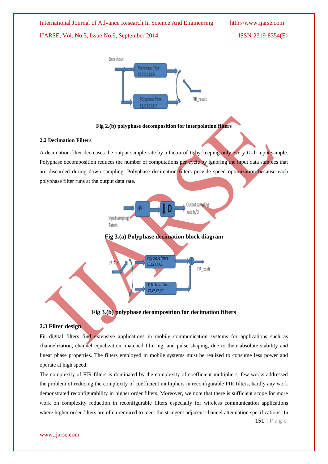





### **2.2 Decimation Filters**

A decimation filter decreases the output sample rate by a factor of *D* by keeping only every *D*-th input sample. Polyphase decomposition reduces the number of computations per cycle by ignoring the input data samples that are discarded during down sampling. Polyphase decimation filters provide speed optimization because each polyphase filter runs at the output data rate.







# **Fig 3.(b) polyphase decomposition for decimation filters**

# **2.3 Filter design**

Fir digital filters find extensive applications in mobile communication systems for applications such as channelization, channel equalization, matched filtering, and pulse shaping, due to their absolute stability and linear phase properties. The filters employed in mobile systems must be realized to consume less power and operate at high speed.

The complexity of FIR filters is dominated by the complexity of coefficient multipliers. few works addressed the problem of reducing the complexity of coefficient multipliers in reconfigurable FIR filters, hardly any work demonstrated reconfigurability in higher order filters. Moreover, we note that there is sufficient scope for more work on complexity reduction in reconfigurable filters especially for wireless communication applications where higher order filters are often required to meet the stringent adjacent channel attenuation specifications. In

151 | P a g e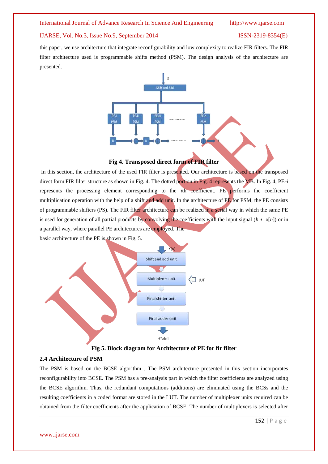### IJARSE, Vol. No.3, Issue No.9, September 2014 ISSN-2319-8354(E)

this paper, we use architecture that integrate reconfigurability and low complexity to realize FIR filters. The FIR filter architecture used is programmable shifts method (PSM). The design analysis of the architecture are presented.



### **Fig 4. Transposed direct form of FIR filter**

In this section, the architecture of the used FIR filter is presented. Our architecture is based on the transposed direct form FIR filter structure as shown in Fig. 4. The dotted portion in Fig. 4 represents the MB. In Fig. 4, PE-*i*  represents the processing element corresponding to the *i*th coefficient. PE performs the coefficient multiplication operation with the help of a shift and add unit. In the architecture of PE for PSM, the PE consists of programmable shifters (PS). The FIR filter architecture can be realized in a serial way in which the same PE is used for generation of all partial products by convolving the coefficients with the input signal  $(h * x[n])$  or in a parallel way, where parallel PE architectures are employed. The





**Fig 5. Block diagram for Architecture of PE for fir filter**

### **2.4 Architecture of PSM**

The PSM is based on the BCSE algorithm . The PSM architecture presented in this section incorporates reconfigurability into BCSE. The PSM has a pre-analysis part in which the filter coefficients are analyzed using the BCSE algorithm. Thus, the redundant computations (additions) are eliminated using the BCSs and the resulting coefficients in a coded format are stored in the LUT. The number of multiplexer units required can be obtained from the filter coefficients after the application of BCSE. The number of multiplexers is selected after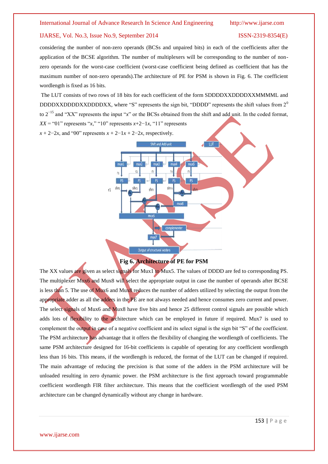considering the number of non-zero operands (BCSs and unpaired bits) in each of the coefficients after the application of the BCSE algorithm. The number of multiplexers will be corresponding to the number of nonzero operands for the worst-case coefficient (worst-case coefficient being defined as coefficient that has the maximum number of non-zero operands).The architecture of PE for PSM is shown in Fig. 6. The coefficient wordlength is fixed as 16 bits.

The LUT consists of two rows of 18 bits for each coefficient of the form SDDDDXXDDDDXXMMMML and DDDDXXDDDDXXDDDDXX, where "S" represents the sign bit, "DDDD" represents the shift values from  $2<sup>0</sup>$ to 2−15 and "XX" represents the input "*x*" or the BCSs obtained from the shift and add unit. In the coded format, *XX* = "01" represents "*x*," "10" represents *x*+2−1*x*, "11" represents  $x + 2-2x$ , and "00" represents  $x + 2-1x + 2-2x$ , respectively.



**Fig 6. Architecture of PE for PSM**

The XX values are given as select signals for Mux1 to Mux5. The values of DDDD are fed to corresponding PS. The multiplexer Mux6 and Mux8 will select the appropriate output in case the number of operands after BCSE is less than 5. The use of Mux6 and Mux8 reduces the number of adders utilized by selecting the output from the appropriate adder as all the adders in the PE are not always needed and hence consumes zero current and power. The select signals of Mux6 and Mux8 have five bits and hence 25 different control signals are possible which adds lots of flexibility to the architecture which can be employed in future if required. Mux7 is used to complement the output in case of a negative coefficient and its select signal is the sign bit "S" of the coefficient. The PSM architecture has advantage that it offers the flexibility of changing the wordlength of coefficients. The same PSM architecture designed for 16-bit coefficients is capable of operating for any coefficient wordlength less than 16 bits. This means, if the wordlength is reduced, the format of the LUT can be changed if required. The main advantage of reducing the precision is that some of the adders in the PSM architecture will be unloaded resulting in zero dynamic power. the PSM architecture is the first approach toward programmable coefficient wordlength FIR filter architecture. This means that the coefficient wordlength of the used PSM architecture can be changed dynamically without any change in hardware.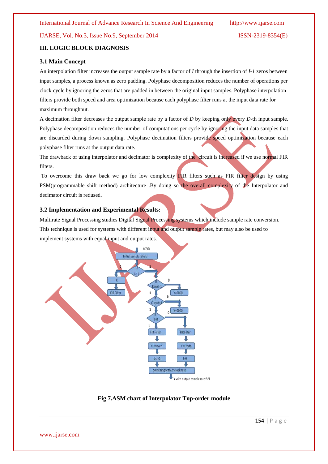### **III. LOGIC BLOCK DIAGNOSIS**

### **3.1 Main Concept**

An interpolation filter increases the output sample rate by a factor of *I* through the insertion of *I-1* zeros between input samples, a process known as zero padding. Polyphase decomposition reduces the number of operations per clock cycle by ignoring the zeros that are padded in between the original input samples. Polyphase interpolation filters provide both speed and area optimization because each polyphase filter runs at the input data rate for maximum throughput.

A decimation filter decreases the output sample rate by a factor of *D* by keeping only every *D*-th input sample. Polyphase decomposition reduces the number of computations per cycle by ignoring the input data samples that are discarded during down sampling. Polyphase decimation filters provide speed optimization because each polyphase filter runs at the output data rate.

The drawback of using interpolator and decimator is complexity of the circuit is increased if we use normal FIR filters.

To overcome this draw back we go for low complexity FIR filters such as FIR filter design by using PSM(programmable shift method) architecture .By doing so the overall complexity of the Interpolator and decimator circuit is redused.

### **3.2 Implementation and Experimental Results:**

Multirate Signal Processing studies Digital Signal Processing systems which include sample rate conversion. This technique is used for systems with different input and output sample rates, but may also be used to implement systems with equal input and output rates.



### **Fig 7.ASM chart of Interpolator Top-order module**

www.ijarse.com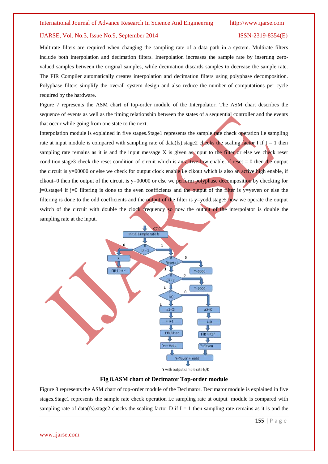Multirate filters are required when changing the sampling rate of a data path in a system. Multirate filters include both interpolation and decimation filters. Interpolation increases the sample rate by inserting zerovalued samples between the original samples, while decimation discards samples to decrease the sample rate. The FIR Compiler automatically creates interpolation and decimation filters using polyphase decomposition. Polyphase filters simplify the overall system design and also reduce the number of computations per cycle required by the hardware.

Figure 7 represents the ASM chart of top-order module of the Interpolator. The ASM chart describes the sequence of events as well as the timing relationship between the states of a sequential controller and the events that occur while going from one state to the next.

Interpolation module is explained in five stages. Stage1 represents the sample rate check operation i.e sampling rate at input module is compared with sampling rate of data(fs).stage2 checks the scaling factor I if  $I = 1$  then sampling rate remains as it is and the input message X is given as input to the filter or else we check reset condition.stage3 check the reset condition of circuit which is an active low enable, if reset  $= 0$  then the output the circuit is  $y=00000$  or else we check for output clock enable i.e clkout which is also an active high enable, if  $\text{clkout}=0$  then the output of the circuit is y=00000 or else we perform polyphase decomposition by checking for  $j=0$ .stage4 if  $j=0$  filtering is done to the even coefficients and the output of the filter is y=yeven or else the filtering is done to the odd coefficients and the output of the filter is y=yodd.stage5 now we operate the output switch of the circuit with double the clock frequency so now the output of the interpolator is double the sampling rate at the input.



**Fig 8.ASM chart of Decimator Top-order module**

Figure 8 represents the ASM chart of top-order module of the Decimator. Decimator module is explained in five stages.Stage1 represents the sample rate check operation i.e sampling rate at output module is compared with sampling rate of data(fs).stage2 checks the scaling factor D if  $I = 1$  then sampling rate remains as it is and the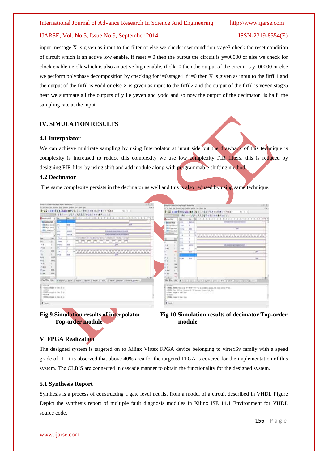### IJARSE, Vol. No.3, Issue No.9, September 2014 ISSN-2319-8354(E)

input message  $X$  is given as input to the filter or else we check reset condition.stage3 check the reset condition of circuit which is an active low enable, if reset  $= 0$  then the output the circuit is  $y=00000$  or else we check for clock enable i.e clk which is also an active high enable, if clk=0 then the output of the circuit is y=00000 or else we perform polyphase decomposition by checking for  $i=0$ . stage4 if  $i=0$  then X is given as input to the firfill and the output of the firfil is yodd or else X is given as input to the firfil2 and the output of the firfil is yeven.stage5 hear we summate all the outputs of y i.e yeven and yodd and so now the output of the decimator is half the sampling rate at the input.

# **IV. SIMULATION RESULTS**

# **4.1 Interpolator**

We can achieve multirate sampling by using Interpolator at input side but the drawback of this technique is complexity is increased to reduce this complexity we use low complexity FIR filters. this is reduced by designing FIR filter by using shift and add module along with programmable shifting method.

### **4.2 Decimator**

The same complexity persists in the decimator as well and this is also redused by using same technique.







### **V FPGA Realization**

The designed system is targeted on to Xilinx Virtex FPGA device belonging to virtex6v family with a speed grade of -1. It is observed that above 40% area for the targeted FPGA is covered for the implementation of this system. The CLB'S are connected in cascade manner to obtain the functionality for the designed system.

### **5.1 Synthesis Report**

Synthesis is a process of constructing a gate level net list from a model of a circuit described in VHDL Figure Depict the synthesis report of multiple fault diagnosis modules in Xilinx ISE 14.1 Environment for VHDL source code.

www.ijarse.com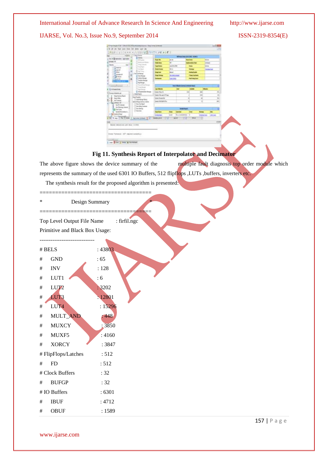IJARSE, Vol. No.3, Issue No.9, September 2014 ISSN-2319-8354(E)

|                                        | vite  . implies<br><b>Sena</b>                        |                                     |                   |                     | Milleage Seas (2011) (ALL: \$4,041) |                         |                   |         |
|----------------------------------------|-------------------------------------------------------|-------------------------------------|-------------------|---------------------|-------------------------------------|-------------------------|-------------------|---------|
| in a Queentri's wom                    | <b>STEAM</b>                                          | <b>Doubl Bay</b>                    | <b>ALCOHOL</b>    |                     | Point from                          |                         | <b>Skilled</b>    |         |
| <b>Terfane</b> 44                      | North and North                                       | <b>Think Server</b>                 | <b>ME</b>         |                     | take unknown                        |                         | <b>After</b>      |         |
| ing.<br>Station                        | Toda Greener<br><b>Transferred</b>                    | <b><i><u>Institute</u></i></b>      | wounts play       |                     | $\leftarrow$                        |                         | <b>Advert</b>     |         |
| <b>PROFIT</b>                          | 3 inches                                              | <b><i><u>Industrialists</u></i></b> | <b>HELL</b>       |                     | them.                               |                         | <b>Statistics</b> |         |
| <b>Mark</b>                            | u<br><b>Brasiling</b><br><b>Englishment</b>           | <b>Program</b>                      | <b>House</b>      |                     | <b>Holly Lists</b>                  |                         |                   |         |
| <b>Arthurs</b><br><b>DE MIAS</b>       | í<br><b>Z</b> Martinsan                               | <b>Ingritmy</b>                     | minister          |                     | they behalf                         |                         |                   |         |
| Upstor 1                               | <b>Control Norge</b><br>Ň<br>Texture Mexico           | $\overline{\phantom{a}}$            | <b>Contractor</b> |                     | <b>Reflegement</b>                  |                         |                   |         |
|                                        | [The finage                                           |                                     |                   |                     |                                     |                         |                   |         |
|                                        | <b>But and South &amp;</b><br>Tony Peters             |                                     |                   |                     | أشطاه فناه                          |                         |                   |         |
| University)                            | <b>Brasil Bulletin</b>                                | <b>THE STATE</b>                    |                   |                     | <b>Arabit</b>                       |                         |                   |         |
| an old power call                      | X Abuleaning local                                    | <b>Jacky Fillmints</b>              |                   |                     | $\frac{1}{2}$                       | 49                      |                   | ni<br>m |
| Implantation                           | <b>Installant</b>                                     | late classicity                     |                   |                     |                                     | $\frac{1}{2}$           |                   | n.<br>- |
| L'E lauritée                           | <b>Real Franklin</b><br>17 Galichlaug Motor           | lades of systems of                 |                   |                     |                                     | $\overline{1}$<br>m     |                   | m<br>۰  |
| 91<br><b>Jackson</b><br>1-55 beach of  | Mind Step Loney Feest                                 | low excandito                       |                   |                     | ×                                   | ш                       |                   | still   |
| <b>Golffi</b> Islands                  | It You Testilgeh                                      |                                     |                   |                     |                                     |                         |                   |         |
| <b><i>The Televing Universe</i></b>    | 12 Inching comm.<br>. If Say Ayers                    |                                     |                   | marken              |                                     |                         |                   |         |
| <b>CO Delivery</b><br>Sever Automobile | 7 Starley.                                            | <b>Système</b>                      | m                 |                     | m                                   | <b>Party</b>            | -                 |         |
| + DO Interesting                       |                                                       | <b>Schedule</b>                     | w                 | <b>IN A BURNING</b> | ٠                                   | <b>Limited Services</b> | <b>SALE</b>       |         |
|                                        |                                                       |                                     |                   | m                   |                                     |                         |                   |         |
|                                        |                                                       |                                     |                   |                     |                                     |                         |                   | 45Ft    |
|                                        | feature commerciated later below 18:1044              |                                     |                   |                     |                                     |                         |                   |         |
|                                        | Mr. 42 boy 12. Nr. 11. June 1. Suppose between 13 (a) | m<br><b>CONTRACTOR</b>              | <b>MARK</b>       |                     | <b>TENNIS</b>                       |                         |                   |         |

# **Fig 11. Synthesis Report of Interpolator and Decimator**

The above figure shows the device summary of the multiple fault diagnosis top order module which represents the summary of the used 6301 IO Buffers, 512 flipflops ,LUTs ,buffers, inverters etc.

The synthesis result for the proposed algorithm is presented:

| ∗            |                                      | Design Summary  |
|--------------|--------------------------------------|-----------------|
|              | Top Level Output File Name           |                 |
|              | Primitive and Black Box Usage:       |                 |
|              | $\#$ BELS                            | : 43803         |
| $\#$         | $\operatorname{GND}$                 | :65             |
| $\#$         | $\ensuremath{\text{INV}}$            | : 128           |
| $\#$         | LUT1                                 | : 6             |
| $\#$         | LUT <sub>2</sub>                     | : 3202          |
| $\#$         | LUT3                                 | 12801           |
| $\#$         | LUT <sub>4</sub>                     | : 15296         |
| $\#$         | MULT_AND                             | : 448           |
| $\#$         | <b>MUXCY</b>                         | 3850            |
| $\#$         | MUXF5                                | :4160           |
| $\#$         | <b>XORCY</b>                         | : 3847          |
|              | #FlipFlops/Latches                   | : 512           |
| $\#$         | ${\rm FD}$                           | : 512           |
|              | # Clock Buffers                      | :32             |
| $\#$         | <b>BUFGP</b>                         | :32             |
|              | # IO Buffers                         | : 6301          |
| $\#$<br>$\#$ | $\operatorname{IBUF}$<br><b>OBUF</b> | : 4712<br>:1589 |

www.ijarse.com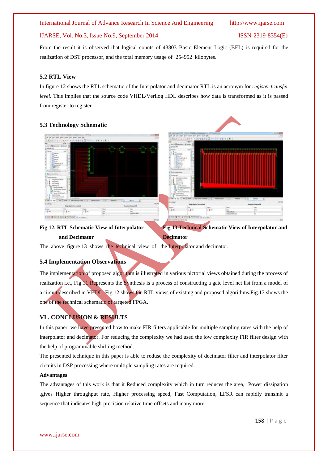### IJARSE, Vol. No.3, Issue No.9, September 2014 ISSN-2319-8354(E)

ies.

From the result it is observed that logical counts of 43803 Basic Element Logic (BEL) is required for the realization of DST processor, and the total memory usage of 254952 kilobytes.

### **5.2 RTL View**

In figure 12 shows the RTL schematic of the Interpolator and decimator RTL is an acronym for *register transfer level*. This implies that the source code VHDL/Verilog HDL describes how data is transformed as it is passed from register to register

### **5.3 Technology Schematic**



**Fig 12. RTL Schematic View of Interpolator Fig 13 Technical Schematic View of Interpolator and and Decimator** Decimator

The above figure 13 shows the technical view of the Interpolator and decimator.

# **5.4 Implementation Observations**

The implementation of proposed algorithm is illustrated in various pictorial views obtained during the process of realization i.e., Fig.11 Represents the Synthesis is a process of constructing a gate level net list from a model of a circuit described in VHDL. Fig.12 shows the RTL views of existing and proposed algorithms.Fig.13 shows the one of the technical schematic of targeted FPGA.

# **VI . CONCLUSION & RESULTS**

In this paper, we have presented how to make FIR filters applicable for multiple sampling rates with the help of interpolator and decimator. For reducing the complexity we had used the low complexity FIR filter design with the help of programmable shifting method.

The presented technique in this paper is able to reduse the complexity of decimator filter and interpolator filter circuits in DSP processing where multiple sampling rates are required.

### **Advantages**

The advantages of this work is that it Reduced complexity which in turn reduces the area, Power dissipation ,gives Higher throughput rate, Higher processing speed, Fast Computation, LFSR can rapidly transmit a sequence that indicates high-precision relative time offsets and many more.